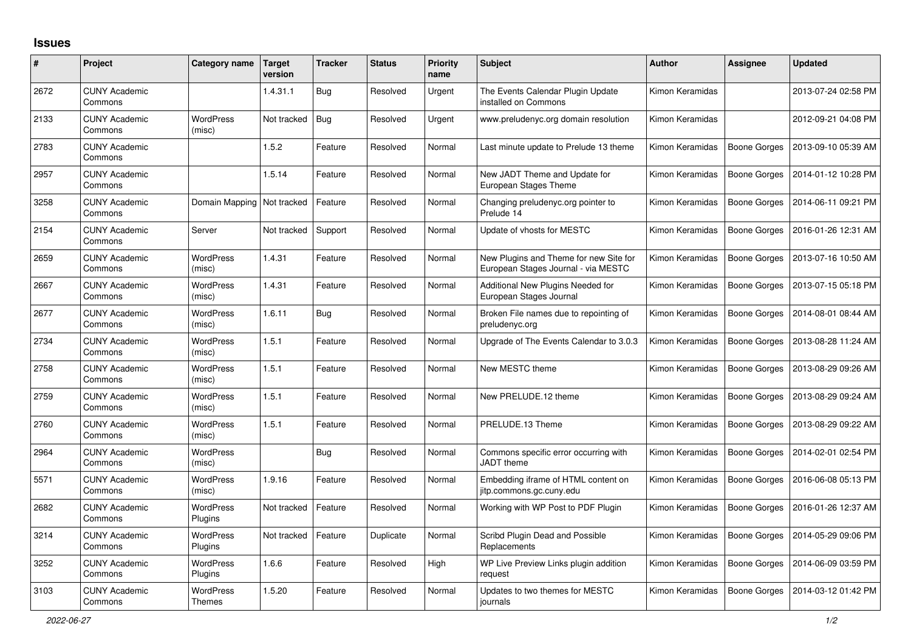## **Issues**

| #    | Project                         | Category name                     | <b>Target</b><br>version | <b>Tracker</b> | <b>Status</b> | <b>Priority</b><br>name | <b>Subject</b>                                                                | <b>Author</b>   | <b>Assignee</b>     | <b>Updated</b>      |
|------|---------------------------------|-----------------------------------|--------------------------|----------------|---------------|-------------------------|-------------------------------------------------------------------------------|-----------------|---------------------|---------------------|
| 2672 | <b>CUNY Academic</b><br>Commons |                                   | 1.4.31.1                 | Bug            | Resolved      | Urgent                  | The Events Calendar Plugin Update<br>installed on Commons                     | Kimon Keramidas |                     | 2013-07-24 02:58 PM |
| 2133 | <b>CUNY Academic</b><br>Commons | <b>WordPress</b><br>(misc)        | Not tracked              | Bug            | Resolved      | Urgent                  | www.preludenyc.org domain resolution                                          | Kimon Keramidas |                     | 2012-09-21 04:08 PM |
| 2783 | <b>CUNY Academic</b><br>Commons |                                   | 1.5.2                    | Feature        | Resolved      | Normal                  | Last minute update to Prelude 13 theme                                        | Kimon Keramidas | Boone Gorges        | 2013-09-10 05:39 AM |
| 2957 | <b>CUNY Academic</b><br>Commons |                                   | 1.5.14                   | Feature        | Resolved      | Normal                  | New JADT Theme and Update for<br>European Stages Theme                        | Kimon Keramidas | Boone Gorges        | 2014-01-12 10:28 PM |
| 3258 | <b>CUNY Academic</b><br>Commons | Domain Mapping   Not tracked      |                          | Feature        | Resolved      | Normal                  | Changing preludenyc.org pointer to<br>Prelude 14                              | Kimon Keramidas | Boone Gorges        | 2014-06-11 09:21 PM |
| 2154 | <b>CUNY Academic</b><br>Commons | Server                            | Not tracked              | Support        | Resolved      | Normal                  | Update of vhosts for MESTC                                                    | Kimon Keramidas | Boone Gorges        | 2016-01-26 12:31 AM |
| 2659 | <b>CUNY Academic</b><br>Commons | <b>WordPress</b><br>(misc)        | 1.4.31                   | Feature        | Resolved      | Normal                  | New Plugins and Theme for new Site for<br>European Stages Journal - via MESTC | Kimon Keramidas | Boone Gorges        | 2013-07-16 10:50 AM |
| 2667 | <b>CUNY Academic</b><br>Commons | WordPress<br>(misc)               | 1.4.31                   | Feature        | Resolved      | Normal                  | Additional New Plugins Needed for<br>European Stages Journal                  | Kimon Keramidas | Boone Gorges        | 2013-07-15 05:18 PM |
| 2677 | <b>CUNY Academic</b><br>Commons | <b>WordPress</b><br>(misc)        | 1.6.11                   | Bug            | Resolved      | Normal                  | Broken File names due to repointing of<br>preludenyc.org                      | Kimon Keramidas | <b>Boone Gorges</b> | 2014-08-01 08:44 AM |
| 2734 | <b>CUNY Academic</b><br>Commons | <b>WordPress</b><br>(misc)        | 1.5.1                    | Feature        | Resolved      | Normal                  | Upgrade of The Events Calendar to 3.0.3                                       | Kimon Keramidas | Boone Gorges        | 2013-08-28 11:24 AM |
| 2758 | <b>CUNY Academic</b><br>Commons | <b>WordPress</b><br>(misc)        | 1.5.1                    | Feature        | Resolved      | Normal                  | New MESTC theme                                                               | Kimon Keramidas | <b>Boone Gorges</b> | 2013-08-29 09:26 AM |
| 2759 | <b>CUNY Academic</b><br>Commons | <b>WordPress</b><br>(misc)        | 1.5.1                    | Feature        | Resolved      | Normal                  | New PRELUDE.12 theme                                                          | Kimon Keramidas | Boone Gorges        | 2013-08-29 09:24 AM |
| 2760 | <b>CUNY Academic</b><br>Commons | <b>WordPress</b><br>(misc)        | 1.5.1                    | Feature        | Resolved      | Normal                  | PRELUDE.13 Theme                                                              | Kimon Keramidas | Boone Gorges        | 2013-08-29 09:22 AM |
| 2964 | <b>CUNY Academic</b><br>Commons | WordPress<br>(misc)               |                          | Bug            | Resolved      | Normal                  | Commons specific error occurring with<br>JADT theme                           | Kimon Keramidas | Boone Gorges        | 2014-02-01 02:54 PM |
| 5571 | <b>CUNY Academic</b><br>Commons | <b>WordPress</b><br>(misc)        | 1.9.16                   | Feature        | Resolved      | Normal                  | Embedding iframe of HTML content on<br>jitp.commons.gc.cuny.edu               | Kimon Keramidas | Boone Gorges        | 2016-06-08 05:13 PM |
| 2682 | <b>CUNY Academic</b><br>Commons | <b>WordPress</b><br>Plugins       | Not tracked              | Feature        | Resolved      | Normal                  | Working with WP Post to PDF Plugin                                            | Kimon Keramidas | Boone Gorges        | 2016-01-26 12:37 AM |
| 3214 | <b>CUNY Academic</b><br>Commons | <b>WordPress</b><br>Plugins       | Not tracked              | Feature        | Duplicate     | Normal                  | Scribd Plugin Dead and Possible<br>Replacements                               | Kimon Keramidas | <b>Boone Gorges</b> | 2014-05-29 09:06 PM |
| 3252 | <b>CUNY Academic</b><br>Commons | <b>WordPress</b><br>Plugins       | 1.6.6                    | Feature        | Resolved      | High                    | WP Live Preview Links plugin addition<br>request                              | Kimon Keramidas | <b>Boone Gorges</b> | 2014-06-09 03:59 PM |
| 3103 | <b>CUNY Academic</b><br>Commons | <b>WordPress</b><br><b>Themes</b> | 1.5.20                   | Feature        | Resolved      | Normal                  | Updates to two themes for MESTC<br>journals                                   | Kimon Keramidas | Boone Gorges        | 2014-03-12 01:42 PM |